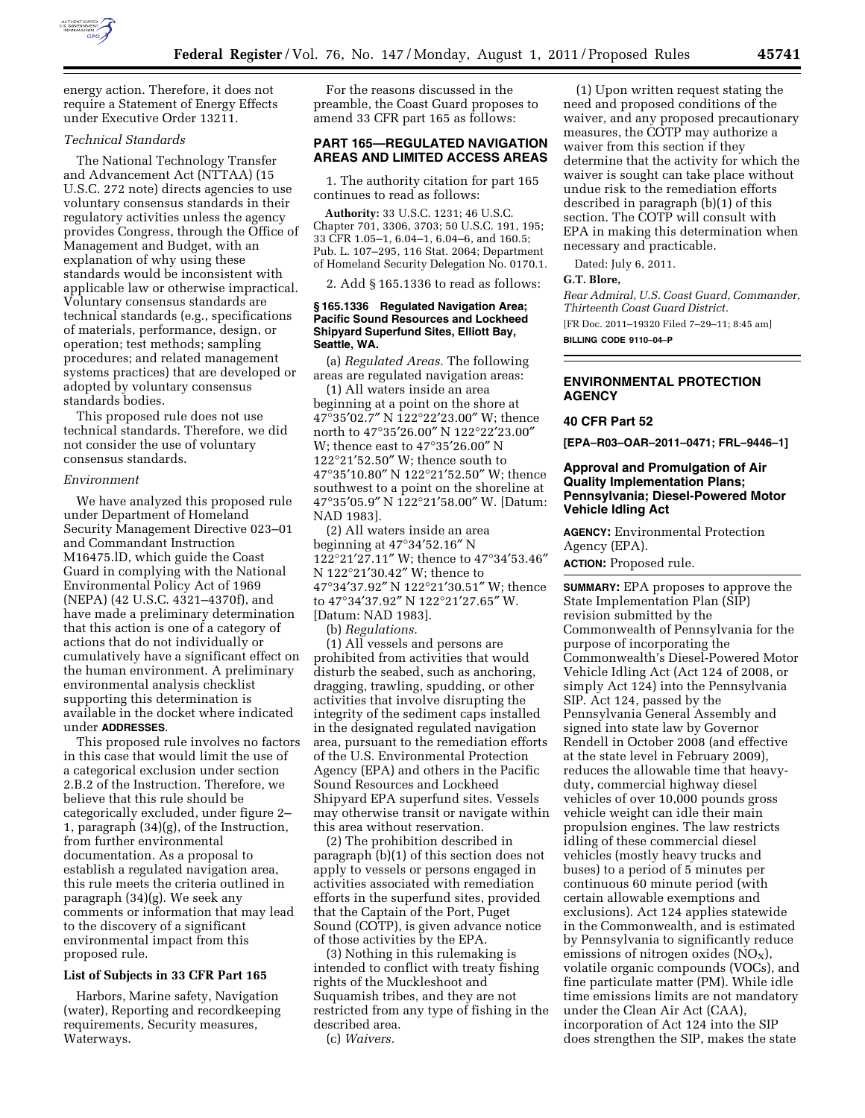

energy action. Therefore, it does not require a Statement of Energy Effects under Executive Order 13211.

# *Technical Standards*

The National Technology Transfer and Advancement Act (NTTAA) (15 U.S.C. 272 note) directs agencies to use voluntary consensus standards in their regulatory activities unless the agency provides Congress, through the Office of Management and Budget, with an explanation of why using these standards would be inconsistent with applicable law or otherwise impractical. Voluntary consensus standards are technical standards (e.g., specifications of materials, performance, design, or operation; test methods; sampling procedures; and related management systems practices) that are developed or adopted by voluntary consensus standards bodies.

This proposed rule does not use technical standards. Therefore, we did not consider the use of voluntary consensus standards.

#### *Environment*

We have analyzed this proposed rule under Department of Homeland Security Management Directive 023–01 and Commandant Instruction M16475.lD, which guide the Coast Guard in complying with the National Environmental Policy Act of 1969 (NEPA) (42 U.S.C. 4321–4370f), and have made a preliminary determination that this action is one of a category of actions that do not individually or cumulatively have a significant effect on the human environment. A preliminary environmental analysis checklist supporting this determination is available in the docket where indicated under **ADDRESSES**.

This proposed rule involves no factors in this case that would limit the use of a categorical exclusion under section 2.B.2 of the Instruction. Therefore, we believe that this rule should be categorically excluded, under figure 2– 1, paragraph (34)(g), of the Instruction, from further environmental documentation. As a proposal to establish a regulated navigation area, this rule meets the criteria outlined in paragraph (34)(g). We seek any comments or information that may lead to the discovery of a significant environmental impact from this proposed rule.

## **List of Subjects in 33 CFR Part 165**

Harbors, Marine safety, Navigation (water), Reporting and recordkeeping requirements, Security measures, Waterways.

For the reasons discussed in the preamble, the Coast Guard proposes to amend 33 CFR part 165 as follows:

## **PART 165—REGULATED NAVIGATION AREAS AND LIMITED ACCESS AREAS**

1. The authority citation for part 165 continues to read as follows:

**Authority:** 33 U.S.C. 1231; 46 U.S.C. Chapter 701, 3306, 3703; 50 U.S.C. 191, 195; 33 CFR 1.05–1, 6.04–1, 6.04–6, and 160.5; Pub. L. 107–295, 116 Stat. 2064; Department of Homeland Security Delegation No. 0170.1.

2. Add § 165.1336 to read as follows:

### **§ 165.1336 Regulated Navigation Area; Pacific Sound Resources and Lockheed Shipyard Superfund Sites, Elliott Bay, Seattle, WA.**

(a) *Regulated Areas.* The following areas are regulated navigation areas:

(1) All waters inside an area beginning at a point on the shore at 47°35′02.7″ N 122°22′23.00″ W; thence north to 47°35′26.00″ N 122°22′23.00″ W; thence east to 47°35′26.00″ N 122°21′52.50″ W; thence south to 47°35′10.80″ N 122°21′52.50″ W; thence southwest to a point on the shoreline at 47°35′05.9″ N 122°21′58.00″ W. [Datum: NAD 1983].

(2) All waters inside an area beginning at 47°34′52.16″ N 122°21′27.11″ W; thence to 47°34′53.46″ N 122°21′30.42″ W; thence to 47°34′37.92″ N 122°21′30.51″ W; thence to  $47^{\circ}34'37.92''$  N  $122^{\circ}21'27.65''$  W. [Datum: NAD 1983].

(b) *Regulations.* 

(1) All vessels and persons are prohibited from activities that would disturb the seabed, such as anchoring, dragging, trawling, spudding, or other activities that involve disrupting the integrity of the sediment caps installed in the designated regulated navigation area, pursuant to the remediation efforts of the U.S. Environmental Protection Agency (EPA) and others in the Pacific Sound Resources and Lockheed Shipyard EPA superfund sites. Vessels may otherwise transit or navigate within this area without reservation.

(2) The prohibition described in paragraph (b)(1) of this section does not apply to vessels or persons engaged in activities associated with remediation efforts in the superfund sites, provided that the Captain of the Port, Puget Sound (COTP), is given advance notice of those activities by the EPA.

(3) Nothing in this rulemaking is intended to conflict with treaty fishing rights of the Muckleshoot and Suquamish tribes, and they are not restricted from any type of fishing in the described area. (c) *Waivers.* 

(1) Upon written request stating the need and proposed conditions of the waiver, and any proposed precautionary measures, the COTP may authorize a waiver from this section if they determine that the activity for which the waiver is sought can take place without undue risk to the remediation efforts described in paragraph (b)(1) of this section. The COTP will consult with EPA in making this determination when necessary and practicable.

Dated: July 6, 2011.

#### **G.T. Blore,**

*Rear Admiral, U.S. Coast Guard, Commander, Thirteenth Coast Guard District.*  [FR Doc. 2011–19320 Filed 7–29–11; 8:45 am] **BILLING CODE 9110–04–P** 

# **ENVIRONMENTAL PROTECTION AGENCY**

# **40 CFR Part 52**

**[EPA–R03–OAR–2011–0471; FRL–9446–1]** 

# **Approval and Promulgation of Air Quality Implementation Plans; Pennsylvania; Diesel-Powered Motor Vehicle Idling Act**

**AGENCY:** Environmental Protection Agency (EPA). **ACTION:** Proposed rule.

**SUMMARY:** EPA proposes to approve the State Implementation Plan (SIP) revision submitted by the Commonwealth of Pennsylvania for the purpose of incorporating the Commonwealth's Diesel-Powered Motor Vehicle Idling Act (Act 124 of 2008, or simply Act 124) into the Pennsylvania SIP. Act 124, passed by the Pennsylvania General Assembly and signed into state law by Governor Rendell in October 2008 (and effective at the state level in February 2009), reduces the allowable time that heavyduty, commercial highway diesel vehicles of over 10,000 pounds gross vehicle weight can idle their main propulsion engines. The law restricts idling of these commercial diesel vehicles (mostly heavy trucks and buses) to a period of 5 minutes per continuous 60 minute period (with certain allowable exemptions and exclusions). Act 124 applies statewide in the Commonwealth, and is estimated by Pennsylvania to significantly reduce emissions of nitrogen oxides  $(NO<sub>X</sub>)$ , volatile organic compounds (VOCs), and fine particulate matter (PM). While idle time emissions limits are not mandatory under the Clean Air Act (CAA), incorporation of Act 124 into the SIP does strengthen the SIP, makes the state